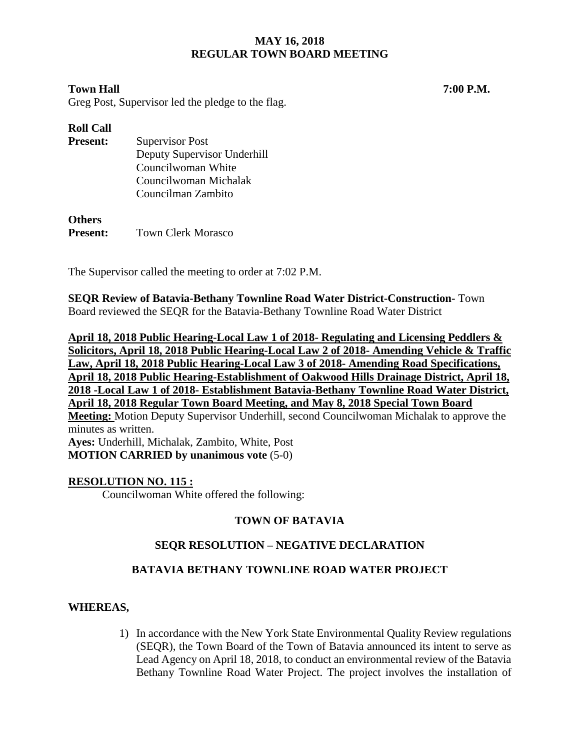## **Town Hall 7:00 P.M.**

Greg Post, Supervisor led the pledge to the flag.

## **Roll Call**

| <b>Present:</b> | <b>Supervisor Post</b>      |
|-----------------|-----------------------------|
|                 | Deputy Supervisor Underhill |
|                 | Councilwoman White          |
|                 | Councilwoman Michalak       |
|                 | Councilman Zambito          |
|                 |                             |

**Others Present:** Town Clerk Morasco

The Supervisor called the meeting to order at 7:02 P.M.

**SEQR Review of Batavia-Bethany Townline Road Water District-Construction-** Town Board reviewed the SEQR for the Batavia-Bethany Townline Road Water District

**April 18, 2018 Public Hearing-Local Law 1 of 2018- Regulating and Licensing Peddlers & Solicitors, April 18, 2018 Public Hearing-Local Law 2 of 2018- Amending Vehicle & Traffic Law, April 18, 2018 Public Hearing-Local Law 3 of 2018- Amending Road Specifications, April 18, 2018 Public Hearing-Establishment of Oakwood Hills Drainage District, April 18, 2018 -Local Law 1 of 2018- Establishment Batavia-Bethany Townline Road Water District, April 18, 2018 Regular Town Board Meeting, and May 8, 2018 Special Town Board Meeting:** Motion Deputy Supervisor Underhill, second Councilwoman Michalak to approve the minutes as written. **Ayes:** Underhill, Michalak, Zambito, White, Post **MOTION CARRIED by unanimous vote** (5-0)

#### **RESOLUTION NO. 115 :**

Councilwoman White offered the following:

## **TOWN OF BATAVIA**

## **SEQR RESOLUTION – NEGATIVE DECLARATION**

## **BATAVIA BETHANY TOWNLINE ROAD WATER PROJECT**

## **WHEREAS,**

1) In accordance with the New York State Environmental Quality Review regulations (SEQR), the Town Board of the Town of Batavia announced its intent to serve as Lead Agency on April 18, 2018, to conduct an environmental review of the Batavia Bethany Townline Road Water Project. The project involves the installation of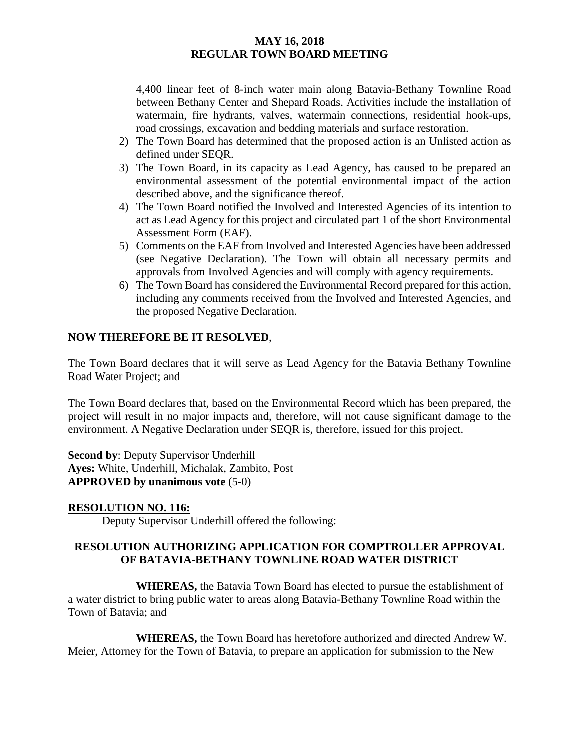4,400 linear feet of 8-inch water main along Batavia-Bethany Townline Road between Bethany Center and Shepard Roads. Activities include the installation of watermain, fire hydrants, valves, watermain connections, residential hook-ups, road crossings, excavation and bedding materials and surface restoration.

- 2) The Town Board has determined that the proposed action is an Unlisted action as defined under SEQR.
- 3) The Town Board, in its capacity as Lead Agency, has caused to be prepared an environmental assessment of the potential environmental impact of the action described above, and the significance thereof.
- 4) The Town Board notified the Involved and Interested Agencies of its intention to act as Lead Agency for this project and circulated part 1 of the short Environmental Assessment Form (EAF).
- 5) Comments on the EAF from Involved and Interested Agencies have been addressed (see Negative Declaration). The Town will obtain all necessary permits and approvals from Involved Agencies and will comply with agency requirements.
- 6) The Town Board has considered the Environmental Record prepared for this action, including any comments received from the Involved and Interested Agencies, and the proposed Negative Declaration.

## **NOW THEREFORE BE IT RESOLVED**,

The Town Board declares that it will serve as Lead Agency for the Batavia Bethany Townline Road Water Project; and

The Town Board declares that, based on the Environmental Record which has been prepared, the project will result in no major impacts and, therefore, will not cause significant damage to the environment. A Negative Declaration under SEQR is, therefore, issued for this project.

**Second by**: Deputy Supervisor Underhill **Ayes:** White, Underhill, Michalak, Zambito, Post **APPROVED by unanimous vote** (5-0)

#### **RESOLUTION NO. 116:**

Deputy Supervisor Underhill offered the following:

## **RESOLUTION AUTHORIZING APPLICATION FOR COMPTROLLER APPROVAL OF BATAVIA-BETHANY TOWNLINE ROAD WATER DISTRICT**

**WHEREAS,** the Batavia Town Board has elected to pursue the establishment of a water district to bring public water to areas along Batavia-Bethany Townline Road within the Town of Batavia; and

**WHEREAS,** the Town Board has heretofore authorized and directed Andrew W. Meier, Attorney for the Town of Batavia, to prepare an application for submission to the New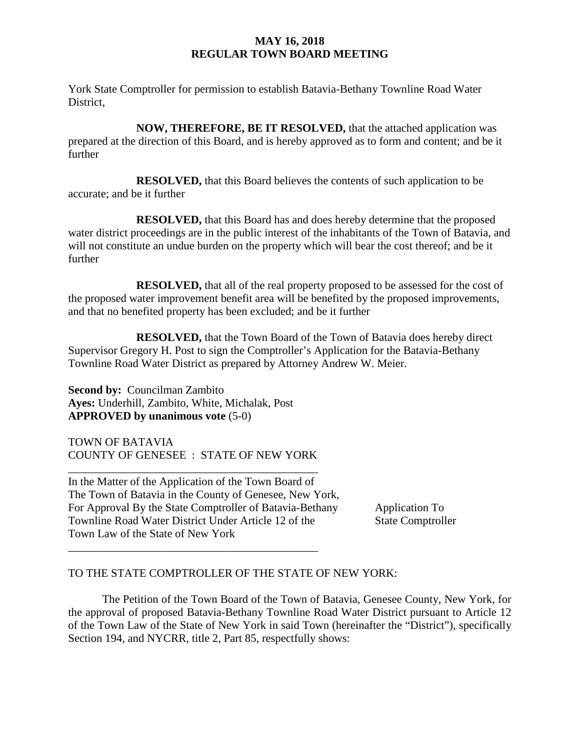York State Comptroller for permission to establish Batavia-Bethany Townline Road Water District,

**NOW, THEREFORE, BE IT RESOLVED,** that the attached application was prepared at the direction of this Board, and is hereby approved as to form and content; and be it further

**RESOLVED,** that this Board believes the contents of such application to be accurate; and be it further

**RESOLVED,** that this Board has and does hereby determine that the proposed water district proceedings are in the public interest of the inhabitants of the Town of Batavia, and will not constitute an undue burden on the property which will bear the cost thereof; and be it further

**RESOLVED,** that all of the real property proposed to be assessed for the cost of the proposed water improvement benefit area will be benefited by the proposed improvements, and that no benefited property has been excluded; and be it further

**RESOLVED,** that the Town Board of the Town of Batavia does hereby direct Supervisor Gregory H. Post to sign the Comptroller's Application for the Batavia-Bethany Townline Road Water District as prepared by Attorney Andrew W. Meier.

**Second by:** Councilman Zambito **Ayes:** Underhill, Zambito, White, Michalak, Post **APPROVED by unanimous vote** (5-0)

TOWN OF BATAVIA COUNTY OF GENESEE : STATE OF NEW YORK

\_\_\_\_\_\_\_\_\_\_\_\_\_\_\_\_\_\_\_\_\_\_\_\_\_\_\_\_\_\_\_\_\_\_\_\_\_\_\_\_\_\_\_\_

\_\_\_\_\_\_\_\_\_\_\_\_\_\_\_\_\_\_\_\_\_\_\_\_\_\_\_\_\_\_\_\_\_\_\_\_\_\_\_\_\_\_\_\_ In the Matter of the Application of the Town Board of The Town of Batavia in the County of Genesee, New York, For Approval By the State Comptroller of Batavia-Bethany Application To Townline Road Water District Under Article 12 of the State Comptroller Town Law of the State of New York

## TO THE STATE COMPTROLLER OF THE STATE OF NEW YORK:

The Petition of the Town Board of the Town of Batavia, Genesee County, New York, for the approval of proposed Batavia-Bethany Townline Road Water District pursuant to Article 12 of the Town Law of the State of New York in said Town (hereinafter the "District"), specifically Section 194, and NYCRR, title 2, Part 85, respectfully shows: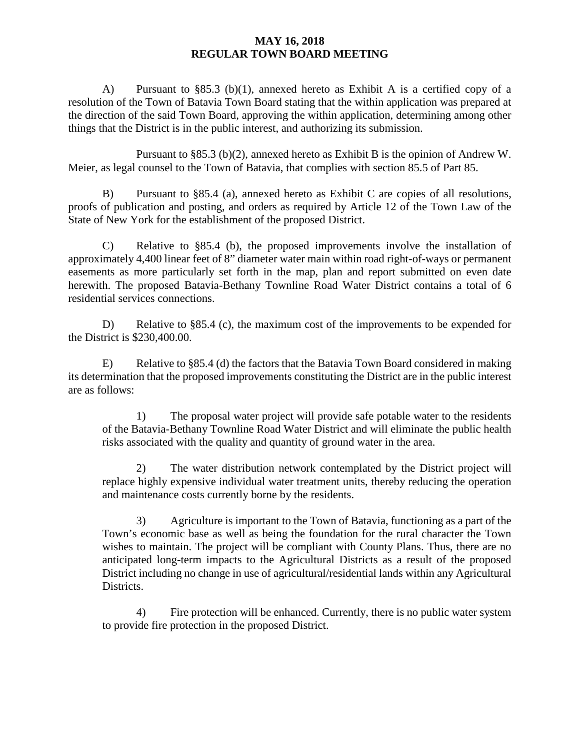A) Pursuant to §85.3 (b)(1), annexed hereto as Exhibit A is a certified copy of a resolution of the Town of Batavia Town Board stating that the within application was prepared at the direction of the said Town Board, approving the within application, determining among other things that the District is in the public interest, and authorizing its submission.

Pursuant to §85.3 (b)(2), annexed hereto as Exhibit B is the opinion of Andrew W. Meier, as legal counsel to the Town of Batavia, that complies with section 85.5 of Part 85.

B) Pursuant to §85.4 (a), annexed hereto as Exhibit C are copies of all resolutions, proofs of publication and posting, and orders as required by Article 12 of the Town Law of the State of New York for the establishment of the proposed District.

C) Relative to §85.4 (b), the proposed improvements involve the installation of approximately 4,400 linear feet of 8" diameter water main within road right-of-ways or permanent easements as more particularly set forth in the map, plan and report submitted on even date herewith. The proposed Batavia-Bethany Townline Road Water District contains a total of 6 residential services connections.

D) Relative to §85.4 (c), the maximum cost of the improvements to be expended for the District is \$230,400.00.

E) Relative to §85.4 (d) the factors that the Batavia Town Board considered in making its determination that the proposed improvements constituting the District are in the public interest are as follows:

1) The proposal water project will provide safe potable water to the residents of the Batavia-Bethany Townline Road Water District and will eliminate the public health risks associated with the quality and quantity of ground water in the area.

2) The water distribution network contemplated by the District project will replace highly expensive individual water treatment units, thereby reducing the operation and maintenance costs currently borne by the residents.

3) Agriculture is important to the Town of Batavia, functioning as a part of the Town's economic base as well as being the foundation for the rural character the Town wishes to maintain. The project will be compliant with County Plans. Thus, there are no anticipated long-term impacts to the Agricultural Districts as a result of the proposed District including no change in use of agricultural/residential lands within any Agricultural Districts.

4) Fire protection will be enhanced. Currently, there is no public water system to provide fire protection in the proposed District.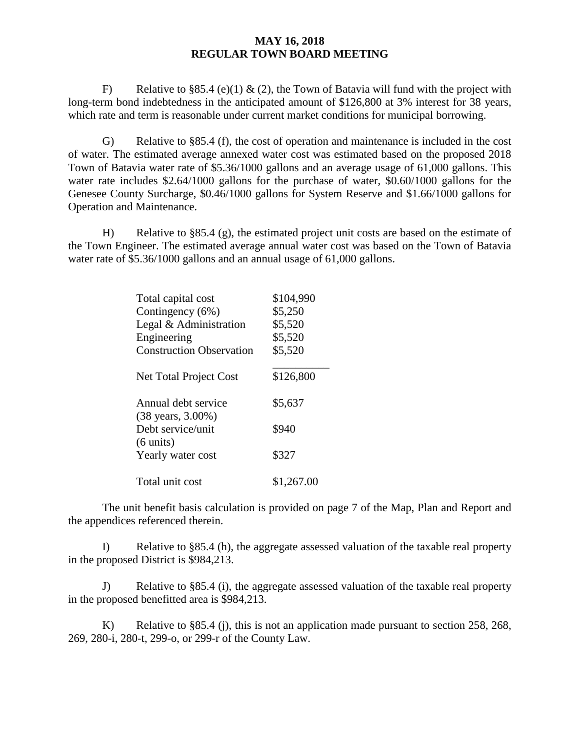F) Relative to §85.4 (e)(1) & (2), the Town of Batavia will fund with the project with long-term bond indebtedness in the anticipated amount of \$126,800 at 3% interest for 38 years, which rate and term is reasonable under current market conditions for municipal borrowing.

G) Relative to §85.4 (f), the cost of operation and maintenance is included in the cost of water. The estimated average annexed water cost was estimated based on the proposed 2018 Town of Batavia water rate of \$5.36/1000 gallons and an average usage of 61,000 gallons. This water rate includes \$2.64/1000 gallons for the purchase of water, \$0.60/1000 gallons for the Genesee County Surcharge, \$0.46/1000 gallons for System Reserve and \$1.66/1000 gallons for Operation and Maintenance.

H) Relative to §85.4 (g), the estimated project unit costs are based on the estimate of the Town Engineer. The estimated average annual water cost was based on the Town of Batavia water rate of \$5.36/1000 gallons and an annual usage of 61,000 gallons.

| Total capital cost              | \$104,990  |
|---------------------------------|------------|
| Contingency (6%)                | \$5,250    |
| Legal & Administration          | \$5,520    |
| Engineering                     | \$5,520    |
| <b>Construction Observation</b> | \$5,520    |
|                                 |            |
| Net Total Project Cost          | \$126,800  |
|                                 |            |
| Annual debt service             | \$5,637    |
| (38 years, 3.00%)               |            |
| Debt service/unit               | \$940      |
| $(6 \text{ units})$             |            |
| Yearly water cost               | \$327      |
| Total unit cost                 | \$1,267.00 |

The unit benefit basis calculation is provided on page 7 of the Map, Plan and Report and the appendices referenced therein.

I) Relative to §85.4 (h), the aggregate assessed valuation of the taxable real property in the proposed District is \$984,213.

J) Relative to §85.4 (i), the aggregate assessed valuation of the taxable real property in the proposed benefitted area is \$984,213.

K) Relative to §85.4 (j), this is not an application made pursuant to section 258, 268, 269, 280-i, 280-t, 299-o, or 299-r of the County Law.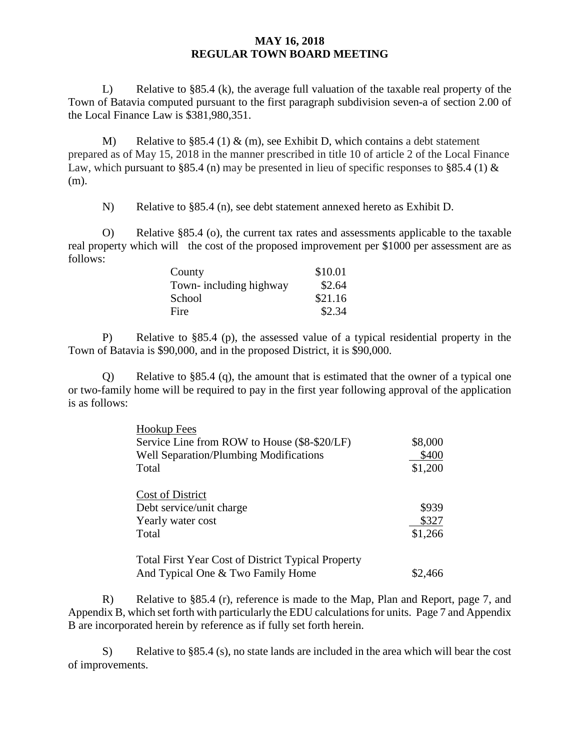L) Relative to §85.4 (k), the average full valuation of the taxable real property of the Town of Batavia computed pursuant to the first paragraph subdivision seven-a of section 2.00 of the Local Finance Law is \$381,980,351.

M) Relative to §85.4 (1)  $\&$  (m), see Exhibit D, which contains a debt statement prepared as of May 15, 2018 in the manner prescribed in title 10 of article 2 of the Local Finance Law, which pursuant to §85.4 (n) may be presented in lieu of specific responses to §85.4 (1)  $\&$ (m).

N) Relative to §85.4 (n), see debt statement annexed hereto as Exhibit D.

O) Relative §85.4 (o), the current tax rates and assessments applicable to the taxable real property which will the cost of the proposed improvement per \$1000 per assessment are as follows:

| County                 | \$10.01 |
|------------------------|---------|
| Town-including highway | \$2.64  |
| School                 | \$21.16 |
| Fire                   | \$2.34  |

P) Relative to §85.4 (p), the assessed value of a typical residential property in the Town of Batavia is \$90,000, and in the proposed District, it is \$90,000.

Q) Relative to §85.4 (q), the amount that is estimated that the owner of a typical one or two-family home will be required to pay in the first year following approval of the application is as follows:

| <b>Hookup Fees</b>                                        |         |
|-----------------------------------------------------------|---------|
| Service Line from ROW to House (\$8-\$20/LF)              | \$8,000 |
| Well Separation/Plumbing Modifications                    | \$400   |
| Total                                                     | \$1,200 |
| Cost of District                                          |         |
| Debt service/unit charge                                  | \$939   |
| Yearly water cost                                         | \$327   |
| Total                                                     | \$1,266 |
| <b>Total First Year Cost of District Typical Property</b> |         |
| And Typical One & Two Family Home                         | \$2,466 |

R) Relative to §85.4 (r), reference is made to the Map, Plan and Report, page 7, and Appendix B, which set forth with particularly the EDU calculations for units. Page 7 and Appendix B are incorporated herein by reference as if fully set forth herein.

S) Relative to §85.4 (s), no state lands are included in the area which will bear the cost of improvements.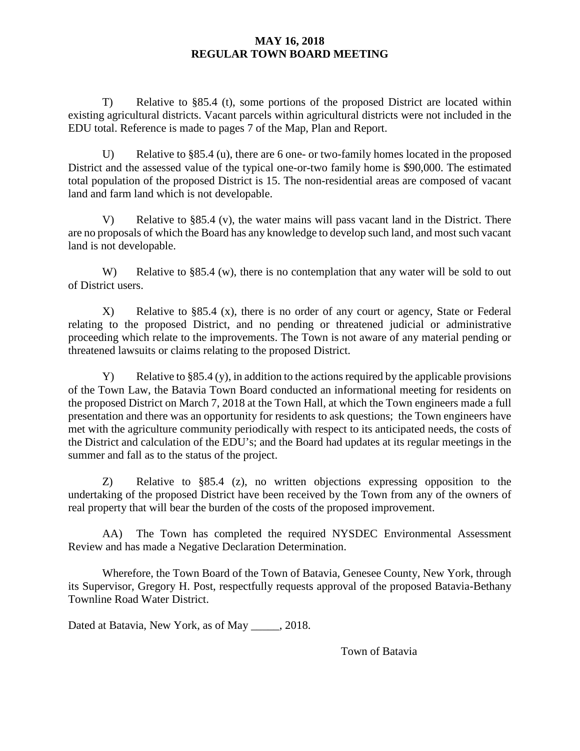T) Relative to §85.4 (t), some portions of the proposed District are located within existing agricultural districts. Vacant parcels within agricultural districts were not included in the EDU total. Reference is made to pages 7 of the Map, Plan and Report.

U) Relative to §85.4 (u), there are 6 one- or two-family homes located in the proposed District and the assessed value of the typical one-or-two family home is \$90,000. The estimated total population of the proposed District is 15. The non-residential areas are composed of vacant land and farm land which is not developable.

V) Relative to §85.4 (v), the water mains will pass vacant land in the District. There are no proposals of which the Board has any knowledge to develop such land, and most such vacant land is not developable.

W) Relative to §85.4 (w), there is no contemplation that any water will be sold to out of District users.

X) Relative to §85.4 (x), there is no order of any court or agency, State or Federal relating to the proposed District, and no pending or threatened judicial or administrative proceeding which relate to the improvements. The Town is not aware of any material pending or threatened lawsuits or claims relating to the proposed District.

Y) Relative to §85.4 (y), in addition to the actions required by the applicable provisions of the Town Law, the Batavia Town Board conducted an informational meeting for residents on the proposed District on March 7, 2018 at the Town Hall, at which the Town engineers made a full presentation and there was an opportunity for residents to ask questions; the Town engineers have met with the agriculture community periodically with respect to its anticipated needs, the costs of the District and calculation of the EDU's; and the Board had updates at its regular meetings in the summer and fall as to the status of the project.

Z) Relative to §85.4 (z), no written objections expressing opposition to the undertaking of the proposed District have been received by the Town from any of the owners of real property that will bear the burden of the costs of the proposed improvement.

AA) The Town has completed the required NYSDEC Environmental Assessment Review and has made a Negative Declaration Determination.

Wherefore, the Town Board of the Town of Batavia, Genesee County, New York, through its Supervisor, Gregory H. Post, respectfully requests approval of the proposed Batavia-Bethany Townline Road Water District.

Dated at Batavia, New York, as of May \_\_\_\_\_, 2018.

Town of Batavia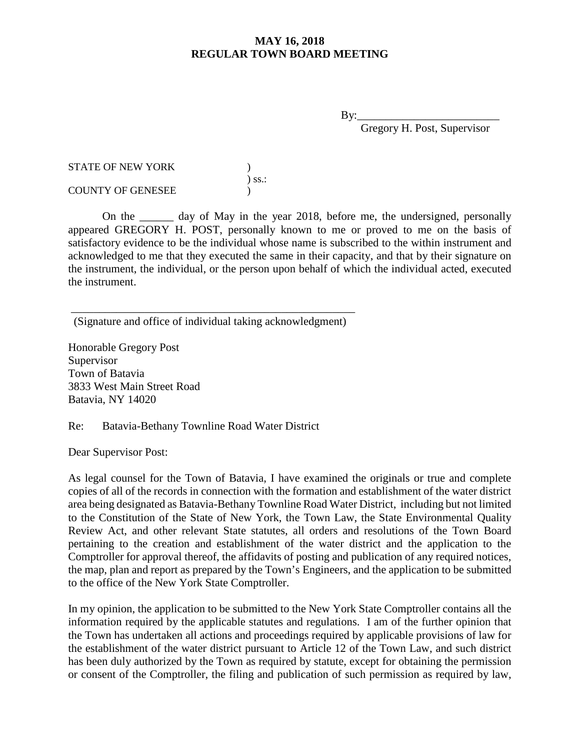$\mathbf{B} \mathbf{v}$ :

Gregory H. Post, Supervisor

| <b>STATE OF NEW YORK</b> |             |
|--------------------------|-------------|
|                          | $\sum$ SS.: |
| <b>COUNTY OF GENESEE</b> |             |

On the day of May in the year 2018, before me, the undersigned, personally appeared GREGORY H. POST, personally known to me or proved to me on the basis of satisfactory evidence to be the individual whose name is subscribed to the within instrument and acknowledged to me that they executed the same in their capacity, and that by their signature on the instrument, the individual, or the person upon behalf of which the individual acted, executed the instrument.

\_\_\_\_\_\_\_\_\_\_\_\_\_\_\_\_\_\_\_\_\_\_\_\_\_\_\_\_\_\_\_\_\_\_\_\_\_\_\_\_\_\_\_\_\_\_\_\_\_\_ (Signature and office of individual taking acknowledgment)

Honorable Gregory Post Supervisor Town of Batavia 3833 West Main Street Road Batavia, NY 14020

Re: Batavia-Bethany Townline Road Water District

Dear Supervisor Post:

As legal counsel for the Town of Batavia, I have examined the originals or true and complete copies of all of the records in connection with the formation and establishment of the water district area being designated as Batavia-Bethany Townline Road Water District, including but not limited to the Constitution of the State of New York, the Town Law, the State Environmental Quality Review Act, and other relevant State statutes, all orders and resolutions of the Town Board pertaining to the creation and establishment of the water district and the application to the Comptroller for approval thereof, the affidavits of posting and publication of any required notices, the map, plan and report as prepared by the Town's Engineers, and the application to be submitted to the office of the New York State Comptroller.

In my opinion, the application to be submitted to the New York State Comptroller contains all the information required by the applicable statutes and regulations. I am of the further opinion that the Town has undertaken all actions and proceedings required by applicable provisions of law for the establishment of the water district pursuant to Article 12 of the Town Law, and such district has been duly authorized by the Town as required by statute, except for obtaining the permission or consent of the Comptroller, the filing and publication of such permission as required by law,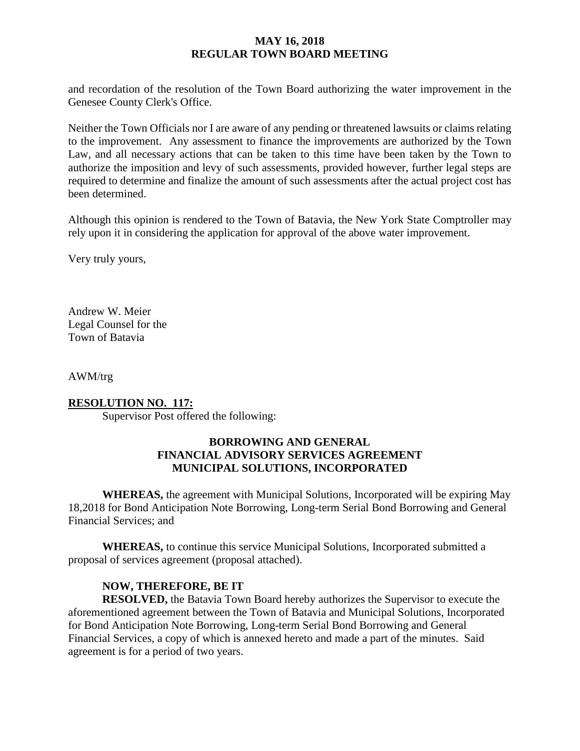and recordation of the resolution of the Town Board authorizing the water improvement in the Genesee County Clerk's Office.

Neither the Town Officials nor I are aware of any pending or threatened lawsuits or claims relating to the improvement. Any assessment to finance the improvements are authorized by the Town Law, and all necessary actions that can be taken to this time have been taken by the Town to authorize the imposition and levy of such assessments, provided however, further legal steps are required to determine and finalize the amount of such assessments after the actual project cost has been determined.

Although this opinion is rendered to the Town of Batavia, the New York State Comptroller may rely upon it in considering the application for approval of the above water improvement.

Very truly yours,

Andrew W. Meier Legal Counsel for the Town of Batavia

AWM/trg

#### **RESOLUTION NO. 117:**

Supervisor Post offered the following:

### **BORROWING AND GENERAL FINANCIAL ADVISORY SERVICES AGREEMENT MUNICIPAL SOLUTIONS, INCORPORATED**

**WHEREAS,** the agreement with Municipal Solutions, Incorporated will be expiring May 18,2018 for Bond Anticipation Note Borrowing, Long-term Serial Bond Borrowing and General Financial Services; and

**WHEREAS,** to continue this service Municipal Solutions, Incorporated submitted a proposal of services agreement (proposal attached).

#### **NOW, THEREFORE, BE IT**

**RESOLVED,** the Batavia Town Board hereby authorizes the Supervisor to execute the aforementioned agreement between the Town of Batavia and Municipal Solutions, Incorporated for Bond Anticipation Note Borrowing, Long-term Serial Bond Borrowing and General Financial Services, a copy of which is annexed hereto and made a part of the minutes. Said agreement is for a period of two years.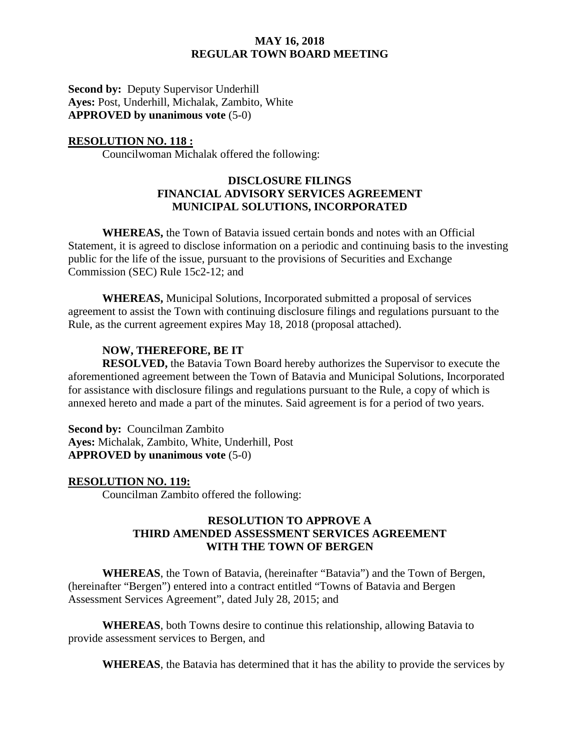**Second by:** Deputy Supervisor Underhill **Ayes:** Post, Underhill, Michalak, Zambito, White **APPROVED by unanimous vote** (5-0)

#### **RESOLUTION NO. 118 :**

Councilwoman Michalak offered the following:

#### **DISCLOSURE FILINGS FINANCIAL ADVISORY SERVICES AGREEMENT MUNICIPAL SOLUTIONS, INCORPORATED**

**WHEREAS,** the Town of Batavia issued certain bonds and notes with an Official Statement, it is agreed to disclose information on a periodic and continuing basis to the investing public for the life of the issue, pursuant to the provisions of Securities and Exchange Commission (SEC) Rule 15c2-12; and

**WHEREAS,** Municipal Solutions, Incorporated submitted a proposal of services agreement to assist the Town with continuing disclosure filings and regulations pursuant to the Rule, as the current agreement expires May 18, 2018 (proposal attached).

#### **NOW, THEREFORE, BE IT**

**RESOLVED,** the Batavia Town Board hereby authorizes the Supervisor to execute the aforementioned agreement between the Town of Batavia and Municipal Solutions, Incorporated for assistance with disclosure filings and regulations pursuant to the Rule, a copy of which is annexed hereto and made a part of the minutes. Said agreement is for a period of two years.

**Second by:** Councilman Zambito **Ayes:** Michalak, Zambito, White, Underhill, Post **APPROVED by unanimous vote** (5-0)

#### **RESOLUTION NO. 119:**

Councilman Zambito offered the following:

#### **RESOLUTION TO APPROVE A THIRD AMENDED ASSESSMENT SERVICES AGREEMENT WITH THE TOWN OF BERGEN**

**WHEREAS**, the Town of Batavia, (hereinafter "Batavia") and the Town of Bergen, (hereinafter "Bergen") entered into a contract entitled "Towns of Batavia and Bergen Assessment Services Agreement", dated July 28, 2015; and

**WHEREAS**, both Towns desire to continue this relationship, allowing Batavia to provide assessment services to Bergen, and

**WHEREAS**, the Batavia has determined that it has the ability to provide the services by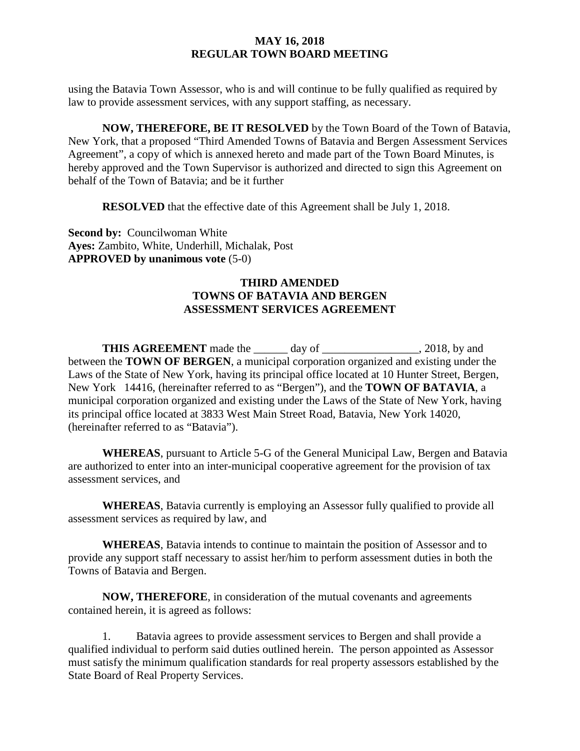using the Batavia Town Assessor, who is and will continue to be fully qualified as required by law to provide assessment services, with any support staffing, as necessary.

**NOW, THEREFORE, BE IT RESOLVED** by the Town Board of the Town of Batavia, New York, that a proposed "Third Amended Towns of Batavia and Bergen Assessment Services Agreement", a copy of which is annexed hereto and made part of the Town Board Minutes, is hereby approved and the Town Supervisor is authorized and directed to sign this Agreement on behalf of the Town of Batavia; and be it further

**RESOLVED** that the effective date of this Agreement shall be July 1, 2018.

**Second by: Councilwoman White Ayes:** Zambito, White, Underhill, Michalak, Post **APPROVED by unanimous vote** (5-0)

### **THIRD AMENDED TOWNS OF BATAVIA AND BERGEN ASSESSMENT SERVICES AGREEMENT**

**THIS AGREEMENT** made the \_\_\_\_\_\_ day of \_\_\_\_\_\_\_\_\_\_\_\_\_\_\_\_\_, 2018, by and between the **TOWN OF BERGEN**, a municipal corporation organized and existing under the Laws of the State of New York, having its principal office located at 10 Hunter Street, Bergen, New York 14416, (hereinafter referred to as "Bergen"), and the **TOWN OF BATAVIA**, a municipal corporation organized and existing under the Laws of the State of New York, having its principal office located at 3833 West Main Street Road, Batavia, New York 14020, (hereinafter referred to as "Batavia").

**WHEREAS**, pursuant to Article 5-G of the General Municipal Law, Bergen and Batavia are authorized to enter into an inter-municipal cooperative agreement for the provision of tax assessment services, and

**WHEREAS**, Batavia currently is employing an Assessor fully qualified to provide all assessment services as required by law, and

**WHEREAS**, Batavia intends to continue to maintain the position of Assessor and to provide any support staff necessary to assist her/him to perform assessment duties in both the Towns of Batavia and Bergen.

**NOW, THEREFORE**, in consideration of the mutual covenants and agreements contained herein, it is agreed as follows:

1. Batavia agrees to provide assessment services to Bergen and shall provide a qualified individual to perform said duties outlined herein. The person appointed as Assessor must satisfy the minimum qualification standards for real property assessors established by the State Board of Real Property Services.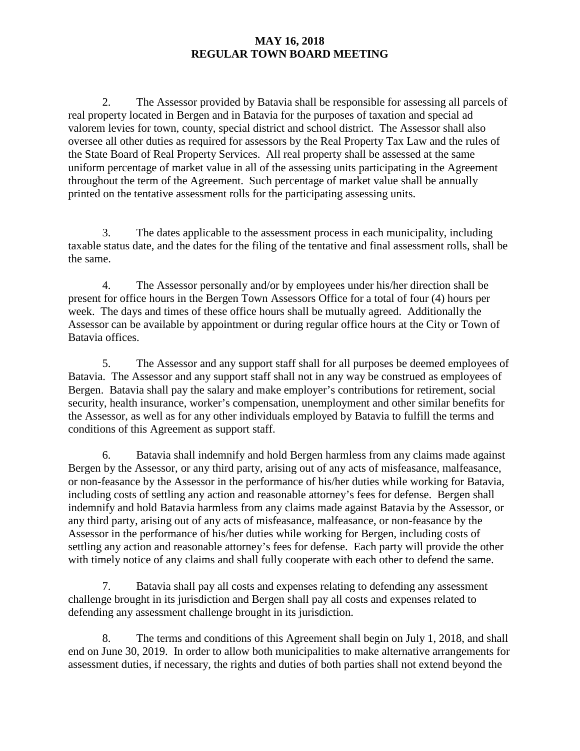2. The Assessor provided by Batavia shall be responsible for assessing all parcels of real property located in Bergen and in Batavia for the purposes of taxation and special ad valorem levies for town, county, special district and school district. The Assessor shall also oversee all other duties as required for assessors by the Real Property Tax Law and the rules of the State Board of Real Property Services. All real property shall be assessed at the same uniform percentage of market value in all of the assessing units participating in the Agreement throughout the term of the Agreement. Such percentage of market value shall be annually printed on the tentative assessment rolls for the participating assessing units.

3. The dates applicable to the assessment process in each municipality, including taxable status date, and the dates for the filing of the tentative and final assessment rolls, shall be the same.

4. The Assessor personally and/or by employees under his/her direction shall be present for office hours in the Bergen Town Assessors Office for a total of four (4) hours per week. The days and times of these office hours shall be mutually agreed. Additionally the Assessor can be available by appointment or during regular office hours at the City or Town of Batavia offices.

5. The Assessor and any support staff shall for all purposes be deemed employees of Batavia. The Assessor and any support staff shall not in any way be construed as employees of Bergen. Batavia shall pay the salary and make employer's contributions for retirement, social security, health insurance, worker's compensation, unemployment and other similar benefits for the Assessor, as well as for any other individuals employed by Batavia to fulfill the terms and conditions of this Agreement as support staff.

6. Batavia shall indemnify and hold Bergen harmless from any claims made against Bergen by the Assessor, or any third party, arising out of any acts of misfeasance, malfeasance, or non-feasance by the Assessor in the performance of his/her duties while working for Batavia, including costs of settling any action and reasonable attorney's fees for defense. Bergen shall indemnify and hold Batavia harmless from any claims made against Batavia by the Assessor, or any third party, arising out of any acts of misfeasance, malfeasance, or non-feasance by the Assessor in the performance of his/her duties while working for Bergen, including costs of settling any action and reasonable attorney's fees for defense. Each party will provide the other with timely notice of any claims and shall fully cooperate with each other to defend the same.

7. Batavia shall pay all costs and expenses relating to defending any assessment challenge brought in its jurisdiction and Bergen shall pay all costs and expenses related to defending any assessment challenge brought in its jurisdiction.

8. The terms and conditions of this Agreement shall begin on July 1, 2018, and shall end on June 30, 2019. In order to allow both municipalities to make alternative arrangements for assessment duties, if necessary, the rights and duties of both parties shall not extend beyond the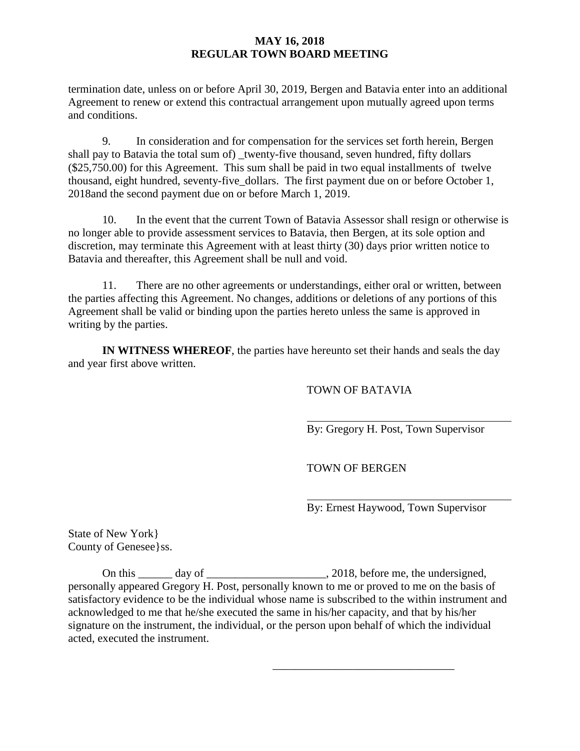termination date, unless on or before April 30, 2019, Bergen and Batavia enter into an additional Agreement to renew or extend this contractual arrangement upon mutually agreed upon terms and conditions.

9. In consideration and for compensation for the services set forth herein, Bergen shall pay to Batavia the total sum of) twenty-five thousand, seven hundred, fifty dollars (\$25,750.00) for this Agreement. This sum shall be paid in two equal installments of twelve thousand, eight hundred, seventy-five\_dollars. The first payment due on or before October 1, 2018and the second payment due on or before March 1, 2019.

10. In the event that the current Town of Batavia Assessor shall resign or otherwise is no longer able to provide assessment services to Batavia, then Bergen, at its sole option and discretion, may terminate this Agreement with at least thirty (30) days prior written notice to Batavia and thereafter, this Agreement shall be null and void.

11. There are no other agreements or understandings, either oral or written, between the parties affecting this Agreement. No changes, additions or deletions of any portions of this Agreement shall be valid or binding upon the parties hereto unless the same is approved in writing by the parties.

**IN WITNESS WHEREOF**, the parties have hereunto set their hands and seals the day and year first above written.

#### TOWN OF BATAVIA

By: Gregory H. Post, Town Supervisor

TOWN OF BERGEN

\_\_\_\_\_\_\_\_\_\_\_\_\_\_\_\_\_\_\_\_\_\_\_\_\_\_\_\_\_\_\_\_

By: Ernest Haywood, Town Supervisor

State of New York} County of Genesee}ss.

On this \_\_\_\_\_\_ day of \_\_\_\_\_\_\_\_\_\_\_\_\_\_\_\_\_\_\_\_\_, 2018, before me, the undersigned, personally appeared Gregory H. Post, personally known to me or proved to me on the basis of satisfactory evidence to be the individual whose name is subscribed to the within instrument and acknowledged to me that he/she executed the same in his/her capacity, and that by his/her signature on the instrument, the individual, or the person upon behalf of which the individual acted, executed the instrument.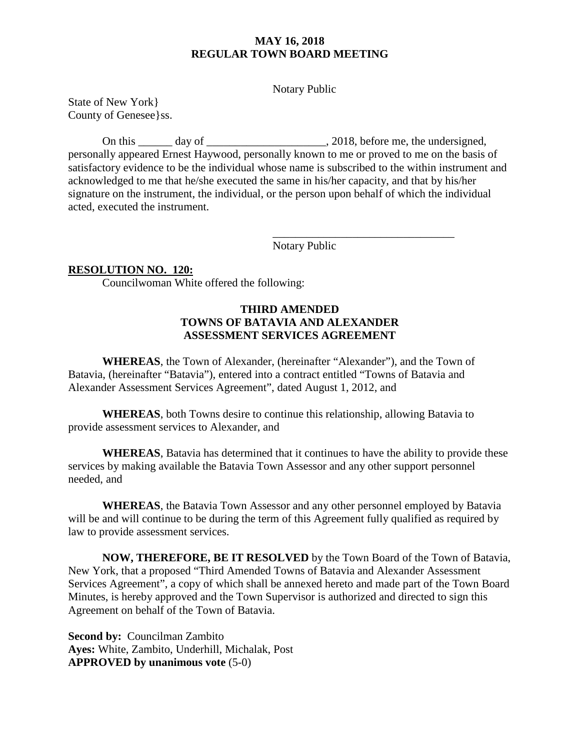Notary Public

State of New York} County of Genesee}ss.

On this day of  $\qquad \qquad$  . 2018, before me, the undersigned, personally appeared Ernest Haywood, personally known to me or proved to me on the basis of satisfactory evidence to be the individual whose name is subscribed to the within instrument and acknowledged to me that he/she executed the same in his/her capacity, and that by his/her signature on the instrument, the individual, or the person upon behalf of which the individual acted, executed the instrument.

Notary Public

\_\_\_\_\_\_\_\_\_\_\_\_\_\_\_\_\_\_\_\_\_\_\_\_\_\_\_\_\_\_\_\_

#### **RESOLUTION NO. 120:**

Councilwoman White offered the following:

### **THIRD AMENDED TOWNS OF BATAVIA AND ALEXANDER ASSESSMENT SERVICES AGREEMENT**

**WHEREAS**, the Town of Alexander, (hereinafter "Alexander"), and the Town of Batavia, (hereinafter "Batavia"), entered into a contract entitled "Towns of Batavia and Alexander Assessment Services Agreement", dated August 1, 2012, and

**WHEREAS**, both Towns desire to continue this relationship, allowing Batavia to provide assessment services to Alexander, and

**WHEREAS**, Batavia has determined that it continues to have the ability to provide these services by making available the Batavia Town Assessor and any other support personnel needed, and

**WHEREAS**, the Batavia Town Assessor and any other personnel employed by Batavia will be and will continue to be during the term of this Agreement fully qualified as required by law to provide assessment services.

**NOW, THEREFORE, BE IT RESOLVED** by the Town Board of the Town of Batavia, New York, that a proposed "Third Amended Towns of Batavia and Alexander Assessment Services Agreement", a copy of which shall be annexed hereto and made part of the Town Board Minutes, is hereby approved and the Town Supervisor is authorized and directed to sign this Agreement on behalf of the Town of Batavia.

**Second by:** Councilman Zambito **Ayes:** White, Zambito, Underhill, Michalak, Post **APPROVED by unanimous vote** (5-0)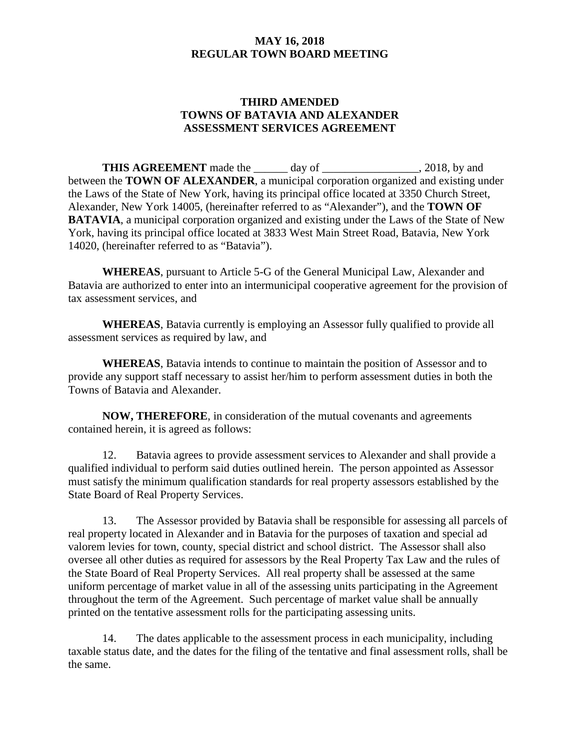## **THIRD AMENDED TOWNS OF BATAVIA AND ALEXANDER ASSESSMENT SERVICES AGREEMENT**

**THIS AGREEMENT** made the day of 2018, by and between the **TOWN OF ALEXANDER**, a municipal corporation organized and existing under the Laws of the State of New York, having its principal office located at 3350 Church Street, Alexander, New York 14005, (hereinafter referred to as "Alexander"), and the **TOWN OF BATAVIA**, a municipal corporation organized and existing under the Laws of the State of New York, having its principal office located at 3833 West Main Street Road, Batavia, New York 14020, (hereinafter referred to as "Batavia").

**WHEREAS**, pursuant to Article 5-G of the General Municipal Law, Alexander and Batavia are authorized to enter into an intermunicipal cooperative agreement for the provision of tax assessment services, and

**WHEREAS**, Batavia currently is employing an Assessor fully qualified to provide all assessment services as required by law, and

**WHEREAS**, Batavia intends to continue to maintain the position of Assessor and to provide any support staff necessary to assist her/him to perform assessment duties in both the Towns of Batavia and Alexander.

**NOW, THEREFORE**, in consideration of the mutual covenants and agreements contained herein, it is agreed as follows:

12. Batavia agrees to provide assessment services to Alexander and shall provide a qualified individual to perform said duties outlined herein. The person appointed as Assessor must satisfy the minimum qualification standards for real property assessors established by the State Board of Real Property Services.

13. The Assessor provided by Batavia shall be responsible for assessing all parcels of real property located in Alexander and in Batavia for the purposes of taxation and special ad valorem levies for town, county, special district and school district. The Assessor shall also oversee all other duties as required for assessors by the Real Property Tax Law and the rules of the State Board of Real Property Services. All real property shall be assessed at the same uniform percentage of market value in all of the assessing units participating in the Agreement throughout the term of the Agreement. Such percentage of market value shall be annually printed on the tentative assessment rolls for the participating assessing units.

14. The dates applicable to the assessment process in each municipality, including taxable status date, and the dates for the filing of the tentative and final assessment rolls, shall be the same.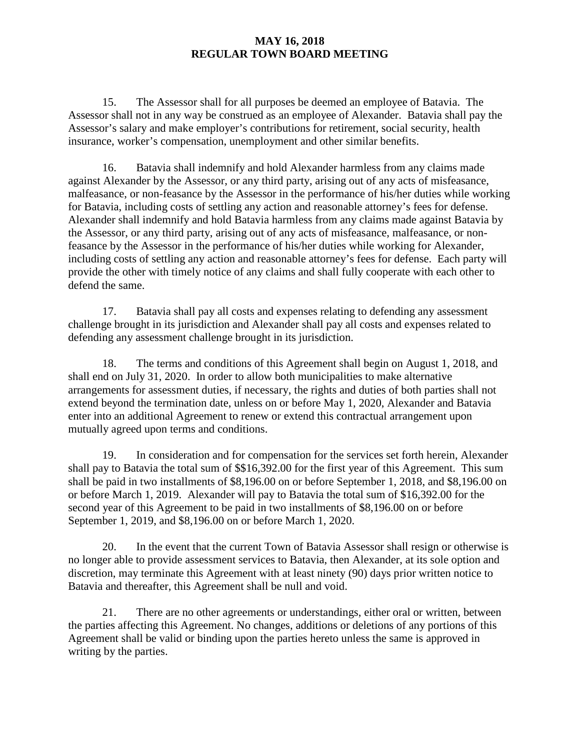15. The Assessor shall for all purposes be deemed an employee of Batavia. The Assessor shall not in any way be construed as an employee of Alexander. Batavia shall pay the Assessor's salary and make employer's contributions for retirement, social security, health insurance, worker's compensation, unemployment and other similar benefits.

16. Batavia shall indemnify and hold Alexander harmless from any claims made against Alexander by the Assessor, or any third party, arising out of any acts of misfeasance, malfeasance, or non-feasance by the Assessor in the performance of his/her duties while working for Batavia, including costs of settling any action and reasonable attorney's fees for defense. Alexander shall indemnify and hold Batavia harmless from any claims made against Batavia by the Assessor, or any third party, arising out of any acts of misfeasance, malfeasance, or nonfeasance by the Assessor in the performance of his/her duties while working for Alexander, including costs of settling any action and reasonable attorney's fees for defense. Each party will provide the other with timely notice of any claims and shall fully cooperate with each other to defend the same.

17. Batavia shall pay all costs and expenses relating to defending any assessment challenge brought in its jurisdiction and Alexander shall pay all costs and expenses related to defending any assessment challenge brought in its jurisdiction.

18. The terms and conditions of this Agreement shall begin on August 1, 2018, and shall end on July 31, 2020. In order to allow both municipalities to make alternative arrangements for assessment duties, if necessary, the rights and duties of both parties shall not extend beyond the termination date, unless on or before May 1, 2020, Alexander and Batavia enter into an additional Agreement to renew or extend this contractual arrangement upon mutually agreed upon terms and conditions.

19. In consideration and for compensation for the services set forth herein, Alexander shall pay to Batavia the total sum of \$\$16,392.00 for the first year of this Agreement. This sum shall be paid in two installments of \$8,196.00 on or before September 1, 2018, and \$8,196.00 on or before March 1, 2019. Alexander will pay to Batavia the total sum of \$16,392.00 for the second year of this Agreement to be paid in two installments of \$8,196.00 on or before September 1, 2019, and \$8,196.00 on or before March 1, 2020.

20. In the event that the current Town of Batavia Assessor shall resign or otherwise is no longer able to provide assessment services to Batavia, then Alexander, at its sole option and discretion, may terminate this Agreement with at least ninety (90) days prior written notice to Batavia and thereafter, this Agreement shall be null and void.

21. There are no other agreements or understandings, either oral or written, between the parties affecting this Agreement. No changes, additions or deletions of any portions of this Agreement shall be valid or binding upon the parties hereto unless the same is approved in writing by the parties.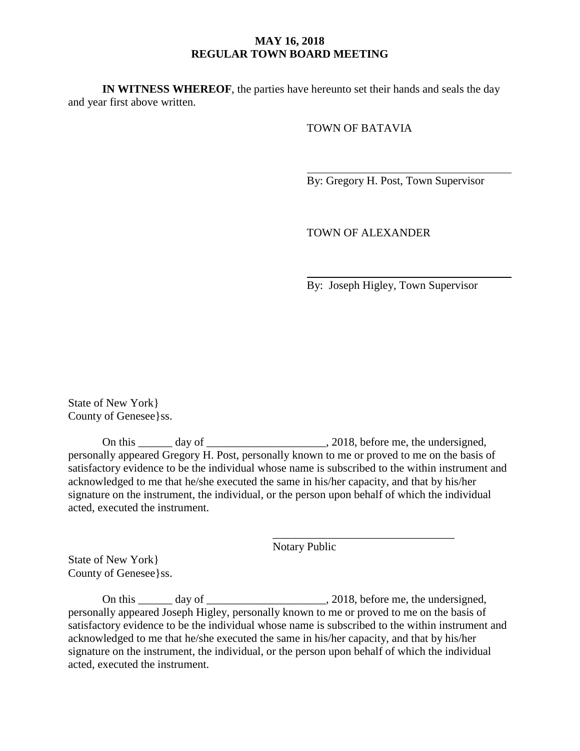**IN WITNESS WHEREOF**, the parties have hereunto set their hands and seals the day and year first above written.

TOWN OF BATAVIA

By: Gregory H. Post, Town Supervisor

TOWN OF ALEXANDER

By: Joseph Higley, Town Supervisor

State of New York} County of Genesee}ss.

On this \_\_\_\_\_\_ day of \_\_\_\_\_\_\_\_\_\_\_\_\_\_\_\_\_\_\_\_\_, 2018, before me, the undersigned, personally appeared Gregory H. Post, personally known to me or proved to me on the basis of satisfactory evidence to be the individual whose name is subscribed to the within instrument and acknowledged to me that he/she executed the same in his/her capacity, and that by his/her signature on the instrument, the individual, or the person upon behalf of which the individual acted, executed the instrument.

Notary Public

\_\_\_\_\_\_\_\_\_\_\_\_\_\_\_\_\_\_\_\_\_\_\_\_\_\_\_\_\_\_\_\_

State of New York} County of Genesee}ss.

On this \_\_\_\_\_\_ day of \_\_\_\_\_\_\_\_\_\_\_\_\_\_\_\_\_\_\_\_, 2018, before me, the undersigned, personally appeared Joseph Higley, personally known to me or proved to me on the basis of satisfactory evidence to be the individual whose name is subscribed to the within instrument and acknowledged to me that he/she executed the same in his/her capacity, and that by his/her signature on the instrument, the individual, or the person upon behalf of which the individual acted, executed the instrument.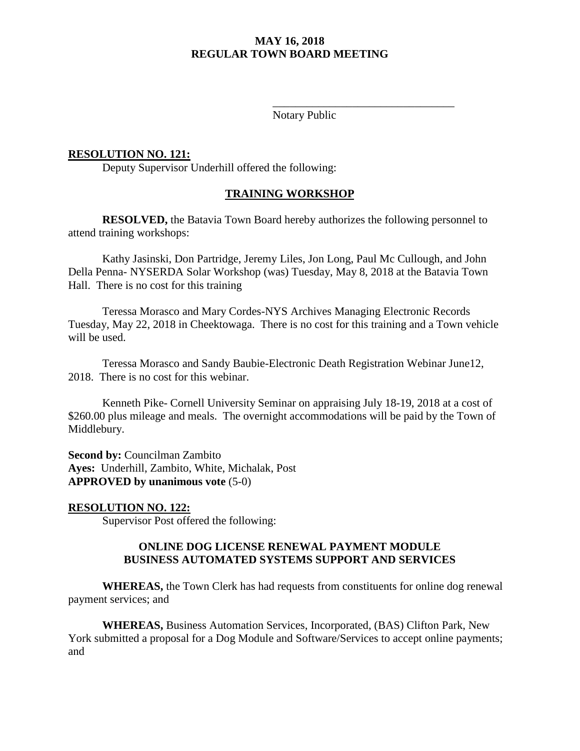Notary Public

\_\_\_\_\_\_\_\_\_\_\_\_\_\_\_\_\_\_\_\_\_\_\_\_\_\_\_\_\_\_\_\_

#### **RESOLUTION NO. 121:**

Deputy Supervisor Underhill offered the following:

#### **TRAINING WORKSHOP**

**RESOLVED,** the Batavia Town Board hereby authorizes the following personnel to attend training workshops:

Kathy Jasinski, Don Partridge, Jeremy Liles, Jon Long, Paul Mc Cullough, and John Della Penna- NYSERDA Solar Workshop (was) Tuesday, May 8, 2018 at the Batavia Town Hall. There is no cost for this training

Teressa Morasco and Mary Cordes-NYS Archives Managing Electronic Records Tuesday, May 22, 2018 in Cheektowaga. There is no cost for this training and a Town vehicle will be used.

Teressa Morasco and Sandy Baubie-Electronic Death Registration Webinar June12, 2018. There is no cost for this webinar.

Kenneth Pike- Cornell University Seminar on appraising July 18-19, 2018 at a cost of \$260.00 plus mileage and meals. The overnight accommodations will be paid by the Town of Middlebury.

**Second by:** Councilman Zambito **Ayes:** Underhill, Zambito, White, Michalak, Post **APPROVED by unanimous vote** (5-0)

#### **RESOLUTION NO. 122:**

Supervisor Post offered the following:

#### **ONLINE DOG LICENSE RENEWAL PAYMENT MODULE BUSINESS AUTOMATED SYSTEMS SUPPORT AND SERVICES**

**WHEREAS,** the Town Clerk has had requests from constituents for online dog renewal payment services; and

**WHEREAS,** Business Automation Services, Incorporated, (BAS) Clifton Park, New York submitted a proposal for a Dog Module and Software/Services to accept online payments; and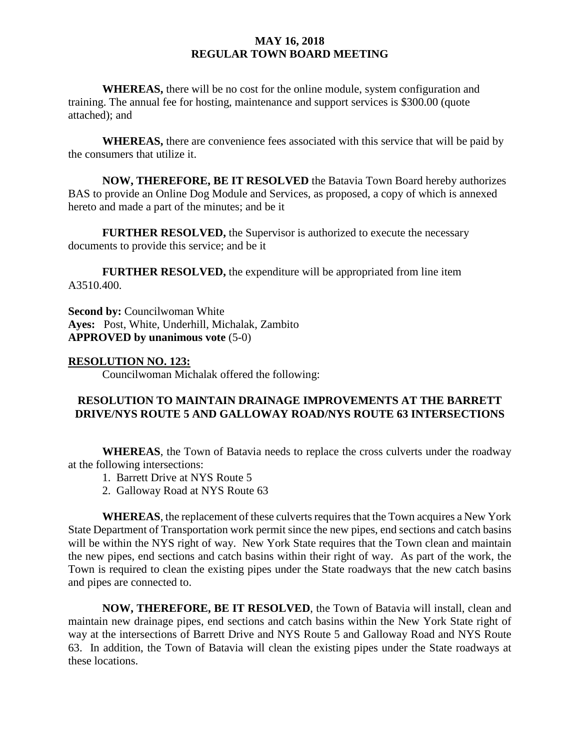**WHEREAS,** there will be no cost for the online module, system configuration and training. The annual fee for hosting, maintenance and support services is \$300.00 (quote attached); and

**WHEREAS,** there are convenience fees associated with this service that will be paid by the consumers that utilize it.

**NOW, THEREFORE, BE IT RESOLVED** the Batavia Town Board hereby authorizes BAS to provide an Online Dog Module and Services, as proposed, a copy of which is annexed hereto and made a part of the minutes; and be it

**FURTHER RESOLVED,** the Supervisor is authorized to execute the necessary documents to provide this service; and be it

**FURTHER RESOLVED,** the expenditure will be appropriated from line item A3510.400.

**Second by:** Councilwoman White **Ayes:** Post, White, Underhill, Michalak, Zambito **APPROVED by unanimous vote** (5-0)

#### **RESOLUTION NO. 123:**

Councilwoman Michalak offered the following:

#### **RESOLUTION TO MAINTAIN DRAINAGE IMPROVEMENTS AT THE BARRETT DRIVE/NYS ROUTE 5 AND GALLOWAY ROAD/NYS ROUTE 63 INTERSECTIONS**

**WHEREAS**, the Town of Batavia needs to replace the cross culverts under the roadway at the following intersections:

- 1. Barrett Drive at NYS Route 5
- 2. Galloway Road at NYS Route 63

**WHEREAS**, the replacement of these culverts requires that the Town acquires a New York State Department of Transportation work permit since the new pipes, end sections and catch basins will be within the NYS right of way. New York State requires that the Town clean and maintain the new pipes, end sections and catch basins within their right of way. As part of the work, the Town is required to clean the existing pipes under the State roadways that the new catch basins and pipes are connected to.

**NOW, THEREFORE, BE IT RESOLVED**, the Town of Batavia will install, clean and maintain new drainage pipes, end sections and catch basins within the New York State right of way at the intersections of Barrett Drive and NYS Route 5 and Galloway Road and NYS Route 63. In addition, the Town of Batavia will clean the existing pipes under the State roadways at these locations.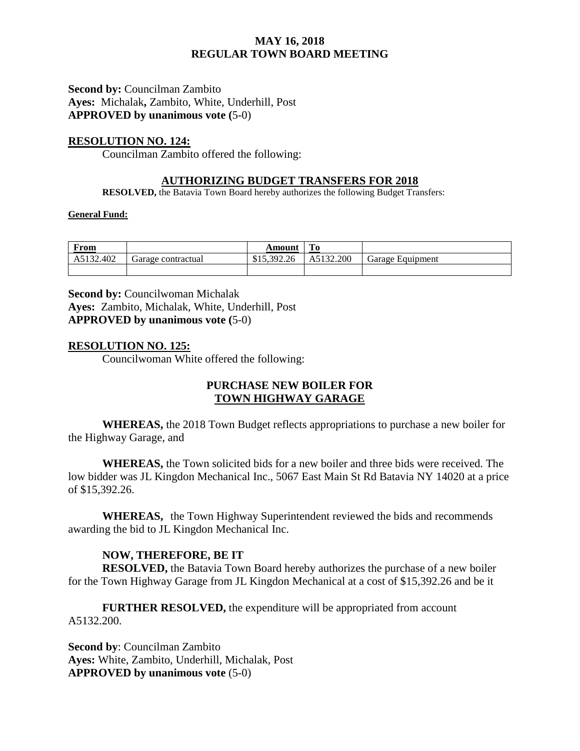**Second by: Councilman Zambito Ayes:** Michalak**,** Zambito, White, Underhill, Post **APPROVED by unanimous vote (**5-0)

#### **RESOLUTION NO. 124:**

Councilman Zambito offered the following:

### **AUTHORIZING BUDGET TRANSFERS FOR 2018**

**RESOLVED,** the Batavia Town Board hereby authorizes the following Budget Transfers:

#### **General Fund:**

| From      |                    | Amount      | ГO        |                  |
|-----------|--------------------|-------------|-----------|------------------|
| A5132.402 | Garage contractual | \$15,392.26 | A5132.200 | Garage Equipment |
|           |                    |             |           |                  |

**Second by: Councilwoman Michalak Ayes:** Zambito, Michalak, White, Underhill, Post **APPROVED by unanimous vote (**5-0)

#### **RESOLUTION NO. 125:**

Councilwoman White offered the following:

## **PURCHASE NEW BOILER FOR TOWN HIGHWAY GARAGE**

**WHEREAS,** the 2018 Town Budget reflects appropriations to purchase a new boiler for the Highway Garage, and

**WHEREAS,** the Town solicited bids for a new boiler and three bids were received. The low bidder was JL Kingdon Mechanical Inc., 5067 East Main St Rd Batavia NY 14020 at a price of \$15,392.26.

**WHEREAS,** the Town Highway Superintendent reviewed the bids and recommends awarding the bid to JL Kingdon Mechanical Inc.

#### **NOW, THEREFORE, BE IT**

**RESOLVED,** the Batavia Town Board hereby authorizes the purchase of a new boiler for the Town Highway Garage from JL Kingdon Mechanical at a cost of \$15,392.26 and be it

**FURTHER RESOLVED, the expenditure will be appropriated from account** A5132.200.

**Second by**: Councilman Zambito **Ayes:** White, Zambito, Underhill, Michalak, Post **APPROVED by unanimous vote** (5-0)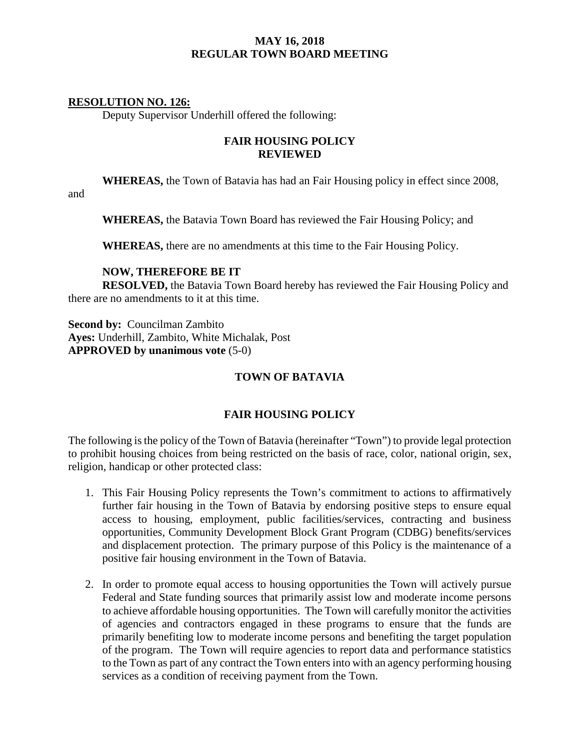### **RESOLUTION NO. 126:**

Deputy Supervisor Underhill offered the following:

### **FAIR HOUSING POLICY REVIEWED**

**WHEREAS,** the Town of Batavia has had an Fair Housing policy in effect since 2008,

and

**WHEREAS,** the Batavia Town Board has reviewed the Fair Housing Policy; and

**WHEREAS,** there are no amendments at this time to the Fair Housing Policy.

#### **NOW, THEREFORE BE IT**

**RESOLVED,** the Batavia Town Board hereby has reviewed the Fair Housing Policy and there are no amendments to it at this time.

**Second by:** Councilman Zambito **Ayes:** Underhill, Zambito, White Michalak, Post **APPROVED by unanimous vote** (5-0)

## **TOWN OF BATAVIA**

## **FAIR HOUSING POLICY**

The following is the policy of the Town of Batavia (hereinafter "Town") to provide legal protection to prohibit housing choices from being restricted on the basis of race, color, national origin, sex, religion, handicap or other protected class:

- 1. This Fair Housing Policy represents the Town's commitment to actions to affirmatively further fair housing in the Town of Batavia by endorsing positive steps to ensure equal access to housing, employment, public facilities/services, contracting and business opportunities, Community Development Block Grant Program (CDBG) benefits/services and displacement protection. The primary purpose of this Policy is the maintenance of a positive fair housing environment in the Town of Batavia.
- 2. In order to promote equal access to housing opportunities the Town will actively pursue Federal and State funding sources that primarily assist low and moderate income persons to achieve affordable housing opportunities. The Town will carefully monitor the activities of agencies and contractors engaged in these programs to ensure that the funds are primarily benefiting low to moderate income persons and benefiting the target population of the program. The Town will require agencies to report data and performance statistics to the Town as part of any contract the Town enters into with an agency performing housing services as a condition of receiving payment from the Town.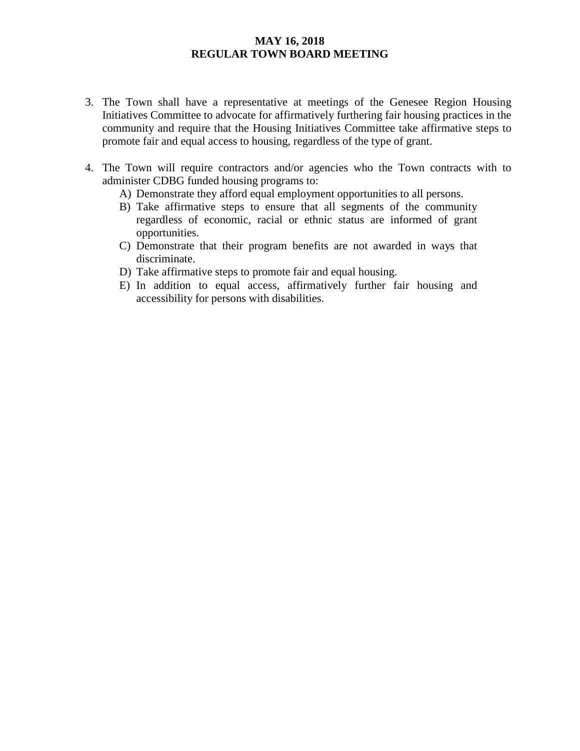- 3. The Town shall have a representative at meetings of the Genesee Region Housing Initiatives Committee to advocate for affirmatively furthering fair housing practices in the community and require that the Housing Initiatives Committee take affirmative steps to promote fair and equal access to housing, regardless of the type of grant.
- 4. The Town will require contractors and/or agencies who the Town contracts with to administer CDBG funded housing programs to:
	- A) Demonstrate they afford equal employment opportunities to all persons.
	- B) Take affirmative steps to ensure that all segments of the community regardless of economic, racial or ethnic status are informed of grant opportunities.
	- C) Demonstrate that their program benefits are not awarded in ways that discriminate.
	- D) Take affirmative steps to promote fair and equal housing.
	- E) In addition to equal access, affirmatively further fair housing and accessibility for persons with disabilities.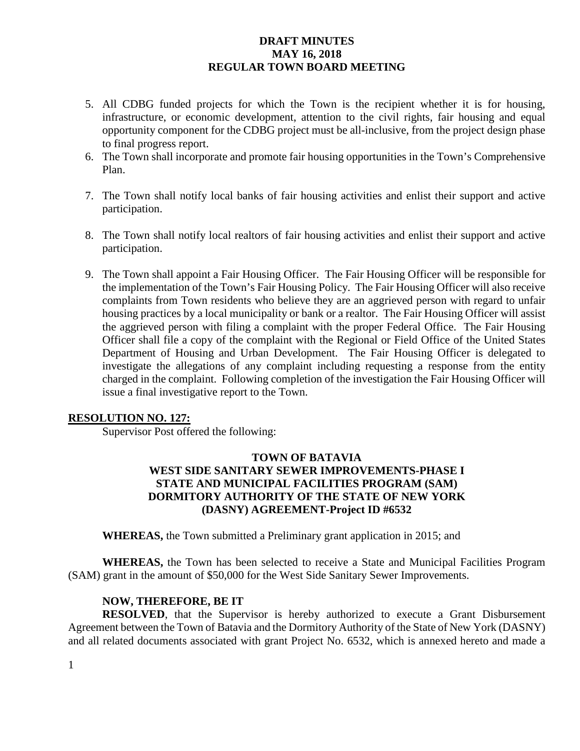- 5. All CDBG funded projects for which the Town is the recipient whether it is for housing, infrastructure, or economic development, attention to the civil rights, fair housing and equal opportunity component for the CDBG project must be all-inclusive, from the project design phase to final progress report.
- 6. The Town shall incorporate and promote fair housing opportunities in the Town's Comprehensive Plan.
- 7. The Town shall notify local banks of fair housing activities and enlist their support and active participation.
- 8. The Town shall notify local realtors of fair housing activities and enlist their support and active participation.
- 9. The Town shall appoint a Fair Housing Officer. The Fair Housing Officer will be responsible for the implementation of the Town's Fair Housing Policy. The Fair Housing Officer will also receive complaints from Town residents who believe they are an aggrieved person with regard to unfair housing practices by a local municipality or bank or a realtor. The Fair Housing Officer will assist the aggrieved person with filing a complaint with the proper Federal Office. The Fair Housing Officer shall file a copy of the complaint with the Regional or Field Office of the United States Department of Housing and Urban Development. The Fair Housing Officer is delegated to investigate the allegations of any complaint including requesting a response from the entity charged in the complaint. Following completion of the investigation the Fair Housing Officer will issue a final investigative report to the Town.

#### **RESOLUTION NO. 127:**

Supervisor Post offered the following:

### **TOWN OF BATAVIA WEST SIDE SANITARY SEWER IMPROVEMENTS-PHASE I STATE AND MUNICIPAL FACILITIES PROGRAM (SAM) DORMITORY AUTHORITY OF THE STATE OF NEW YORK (DASNY) AGREEMENT-Project ID #6532**

**WHEREAS,** the Town submitted a Preliminary grant application in 2015; and

**WHEREAS,** the Town has been selected to receive a State and Municipal Facilities Program (SAM) grant in the amount of \$50,000 for the West Side Sanitary Sewer Improvements.

#### **NOW, THEREFORE, BE IT**

**RESOLVED**, that the Supervisor is hereby authorized to execute a Grant Disbursement Agreement between the Town of Batavia and the Dormitory Authority of the State of New York (DASNY) and all related documents associated with grant Project No. 6532, which is annexed hereto and made a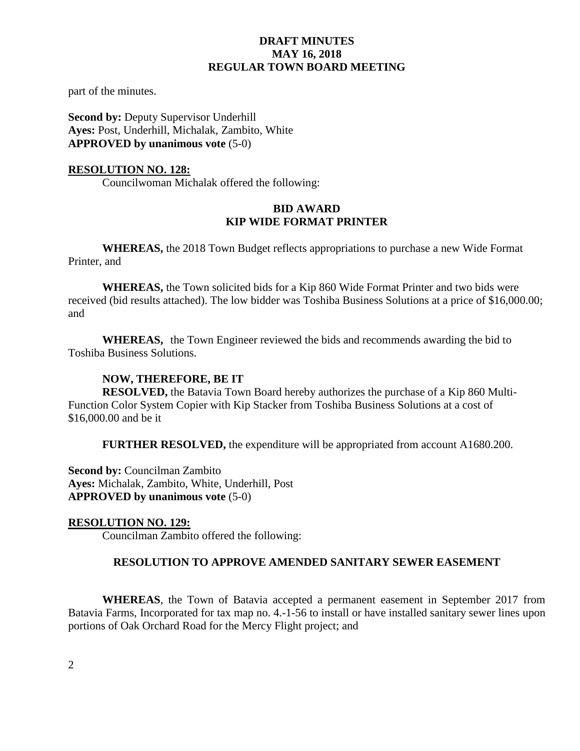part of the minutes.

**Second by: Deputy Supervisor Underhill Ayes:** Post, Underhill, Michalak, Zambito, White **APPROVED by unanimous vote** (5-0)

#### **RESOLUTION NO. 128:**

Councilwoman Michalak offered the following:

### **BID AWARD KIP WIDE FORMAT PRINTER**

**WHEREAS,** the 2018 Town Budget reflects appropriations to purchase a new Wide Format Printer, and

**WHEREAS,** the Town solicited bids for a Kip 860 Wide Format Printer and two bids were received (bid results attached). The low bidder was Toshiba Business Solutions at a price of \$16,000.00; and

**WHEREAS,** the Town Engineer reviewed the bids and recommends awarding the bid to Toshiba Business Solutions.

#### **NOW, THEREFORE, BE IT**

**RESOLVED,** the Batavia Town Board hereby authorizes the purchase of a Kip 860 Multi-Function Color System Copier with Kip Stacker from Toshiba Business Solutions at a cost of \$16,000.00 and be it

**FURTHER RESOLVED,** the expenditure will be appropriated from account A1680.200.

**Second by: Councilman Zambito Ayes:** Michalak, Zambito, White, Underhill, Post **APPROVED by unanimous vote** (5-0)

#### **RESOLUTION NO. 129:**

Councilman Zambito offered the following:

#### **RESOLUTION TO APPROVE AMENDED SANITARY SEWER EASEMENT**

**WHEREAS**, the Town of Batavia accepted a permanent easement in September 2017 from Batavia Farms, Incorporated for tax map no. 4.-1-56 to install or have installed sanitary sewer lines upon portions of Oak Orchard Road for the Mercy Flight project; and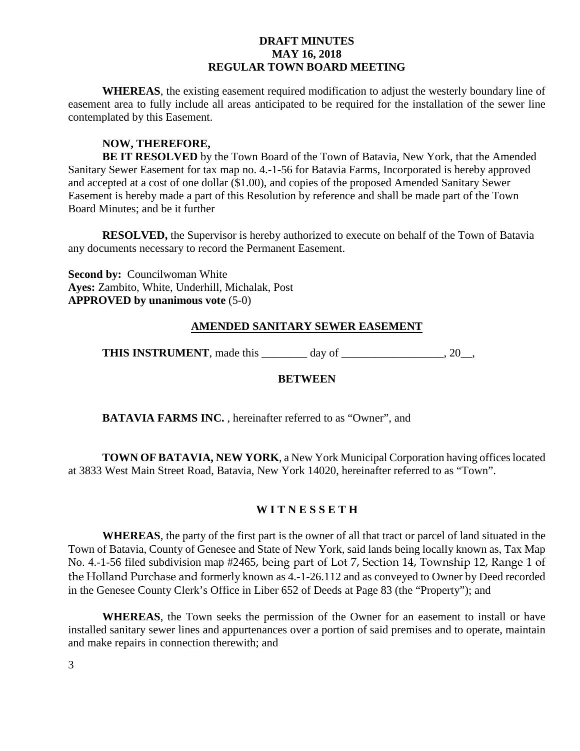**WHEREAS**, the existing easement required modification to adjust the westerly boundary line of easement area to fully include all areas anticipated to be required for the installation of the sewer line contemplated by this Easement.

## **NOW, THEREFORE,**

**BE IT RESOLVED** by the Town Board of the Town of Batavia, New York, that the Amended Sanitary Sewer Easement for tax map no. 4.-1-56 for Batavia Farms, Incorporated is hereby approved and accepted at a cost of one dollar (\$1.00), and copies of the proposed Amended Sanitary Sewer Easement is hereby made a part of this Resolution by reference and shall be made part of the Town Board Minutes; and be it further

**RESOLVED,** the Supervisor is hereby authorized to execute on behalf of the Town of Batavia any documents necessary to record the Permanent Easement.

**Second by: Councilwoman White Ayes:** Zambito, White, Underhill, Michalak, Post **APPROVED by unanimous vote** (5-0)

### **AMENDED SANITARY SEWER EASEMENT**

**THIS INSTRUMENT**, made this \_\_\_\_\_\_\_\_ day of \_\_\_\_\_\_\_\_\_\_\_\_\_\_\_\_\_\_, 20\_\_,

### **BETWEEN**

**BATAVIA FARMS INC.**, hereinafter referred to as "Owner", and

**TOWN OF BATAVIA, NEW YORK**, a New York Municipal Corporation having offices located at 3833 West Main Street Road, Batavia, New York 14020, hereinafter referred to as "Town".

## **W I T N E S S E T H**

**WHEREAS**, the party of the first part is the owner of all that tract or parcel of land situated in the Town of Batavia, County of Genesee and State of New York, said lands being locally known as, Tax Map No. 4.-1-56 filed subdivision map #2465, being part of Lot 7, Section 14, Township 12, Range 1 of the Holland Purchase and formerly known as 4.-1-26.112 and as conveyed to Owner by Deed recorded in the Genesee County Clerk's Office in Liber 652 of Deeds at Page 83 (the "Property"); and

**WHEREAS**, the Town seeks the permission of the Owner for an easement to install or have installed sanitary sewer lines and appurtenances over a portion of said premises and to operate, maintain and make repairs in connection therewith; and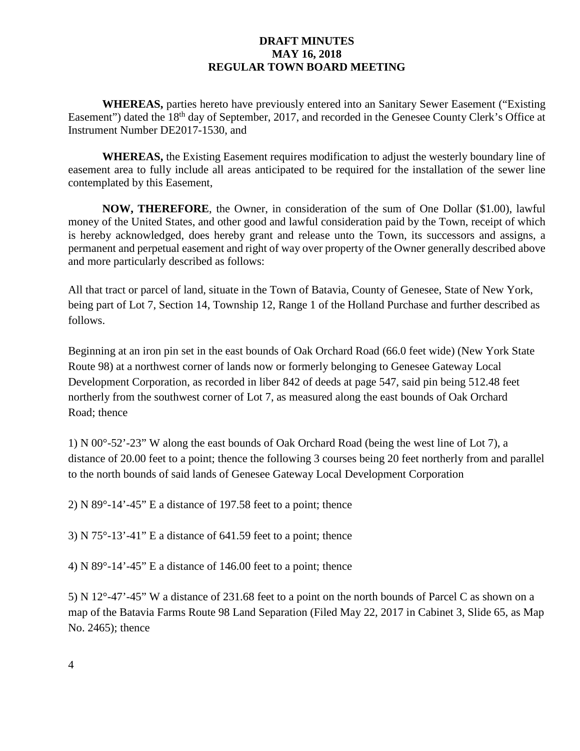**WHEREAS,** parties hereto have previously entered into an Sanitary Sewer Easement ("Existing Easement") dated the 18<sup>th</sup> day of September, 2017, and recorded in the Genesee County Clerk's Office at Instrument Number DE2017-1530, and

**WHEREAS,** the Existing Easement requires modification to adjust the westerly boundary line of easement area to fully include all areas anticipated to be required for the installation of the sewer line contemplated by this Easement,

**NOW, THEREFORE**, the Owner, in consideration of the sum of One Dollar (\$1.00), lawful money of the United States, and other good and lawful consideration paid by the Town, receipt of which is hereby acknowledged, does hereby grant and release unto the Town, its successors and assigns, a permanent and perpetual easement and right of way over property of the Owner generally described above and more particularly described as follows:

All that tract or parcel of land, situate in the Town of Batavia, County of Genesee, State of New York, being part of Lot 7, Section 14, Township 12, Range 1 of the Holland Purchase and further described as follows.

Beginning at an iron pin set in the east bounds of Oak Orchard Road (66.0 feet wide) (New York State Route 98) at a northwest corner of lands now or formerly belonging to Genesee Gateway Local Development Corporation, as recorded in liber 842 of deeds at page 547, said pin being 512.48 feet northerly from the southwest corner of Lot 7, as measured along the east bounds of Oak Orchard Road; thence

1) N 00°-52'-23" W along the east bounds of Oak Orchard Road (being the west line of Lot 7), a distance of 20.00 feet to a point; thence the following 3 courses being 20 feet northerly from and parallel to the north bounds of said lands of Genesee Gateway Local Development Corporation

2) N 89°-14'-45" E a distance of 197.58 feet to a point; thence

3) N 75°-13'-41" E a distance of 641.59 feet to a point; thence

4) N 89°-14'-45" E a distance of 146.00 feet to a point; thence

5) N 12°-47'-45" W a distance of 231.68 feet to a point on the north bounds of Parcel C as shown on a map of the Batavia Farms Route 98 Land Separation (Filed May 22, 2017 in Cabinet 3, Slide 65, as Map No. 2465); thence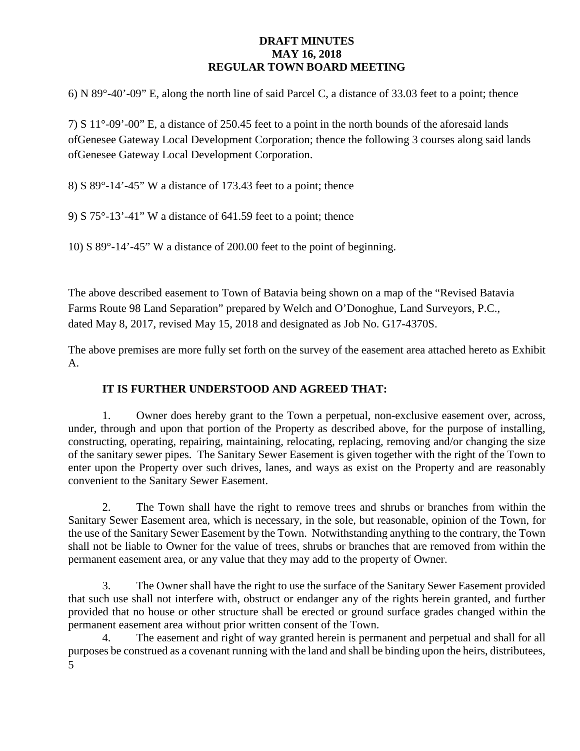6) N 89°-40'-09" E, along the north line of said Parcel C, a distance of 33.03 feet to a point; thence

7) S 11°-09'-00" E, a distance of 250.45 feet to a point in the north bounds of the aforesaid lands ofGenesee Gateway Local Development Corporation; thence the following 3 courses along said lands ofGenesee Gateway Local Development Corporation.

8) S 89°-14'-45" W a distance of 173.43 feet to a point; thence

9) S 75°-13'-41" W a distance of 641.59 feet to a point; thence

10) S 89°-14'-45" W a distance of 200.00 feet to the point of beginning.

The above described easement to Town of Batavia being shown on a map of the "Revised Batavia Farms Route 98 Land Separation" prepared by Welch and O'Donoghue, Land Surveyors, P.C., dated May 8, 2017, revised May 15, 2018 and designated as Job No. G17-4370S.

The above premises are more fully set forth on the survey of the easement area attached hereto as Exhibit A.

## **IT IS FURTHER UNDERSTOOD AND AGREED THAT:**

1. Owner does hereby grant to the Town a perpetual, non-exclusive easement over, across, under, through and upon that portion of the Property as described above, for the purpose of installing, constructing, operating, repairing, maintaining, relocating, replacing, removing and/or changing the size of the sanitary sewer pipes. The Sanitary Sewer Easement is given together with the right of the Town to enter upon the Property over such drives, lanes, and ways as exist on the Property and are reasonably convenient to the Sanitary Sewer Easement.

2. The Town shall have the right to remove trees and shrubs or branches from within the Sanitary Sewer Easement area, which is necessary, in the sole, but reasonable, opinion of the Town, for the use of the Sanitary Sewer Easement by the Town. Notwithstanding anything to the contrary, the Town shall not be liable to Owner for the value of trees, shrubs or branches that are removed from within the permanent easement area, or any value that they may add to the property of Owner.

3. The Owner shall have the right to use the surface of the Sanitary Sewer Easement provided that such use shall not interfere with, obstruct or endanger any of the rights herein granted, and further provided that no house or other structure shall be erected or ground surface grades changed within the permanent easement area without prior written consent of the Town.

5 4. The easement and right of way granted herein is permanent and perpetual and shall for all purposes be construed as a covenant running with the land and shall be binding upon the heirs, distributees,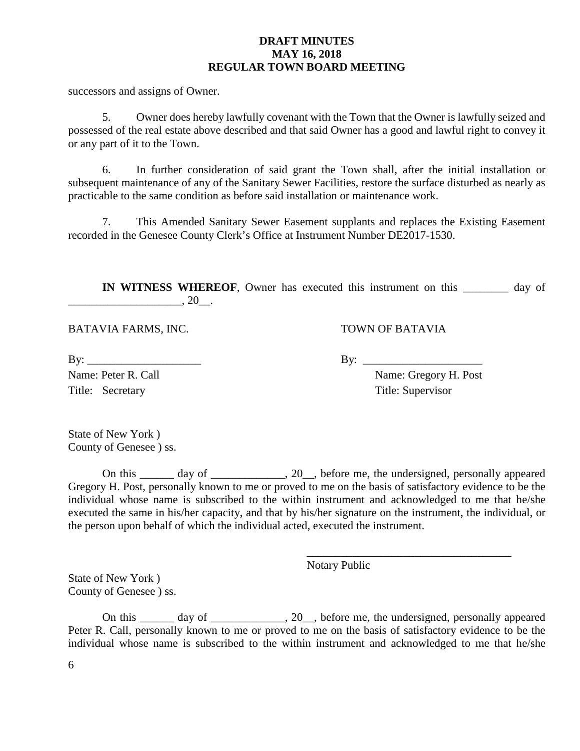successors and assigns of Owner.

5. Owner does hereby lawfully covenant with the Town that the Owner is lawfully seized and possessed of the real estate above described and that said Owner has a good and lawful right to convey it or any part of it to the Town.

6. In further consideration of said grant the Town shall, after the initial installation or subsequent maintenance of any of the Sanitary Sewer Facilities, restore the surface disturbed as nearly as practicable to the same condition as before said installation or maintenance work.

7. This Amended Sanitary Sewer Easement supplants and replaces the Existing Easement recorded in the Genesee County Clerk's Office at Instrument Number DE2017-1530.

**IN WITNESS WHEREOF**, Owner has executed this instrument on this day of  $\frac{1}{20}$ , 20\_.

BATAVIA FARMS, INC. TOWN OF BATAVIA

 $\text{By:}\quad$ Title: Secretary Title: Supervisor

Name: Peter R. Call Name: Gregory H. Post

\_\_\_\_\_\_\_\_\_\_\_\_\_\_\_\_\_\_\_\_\_\_\_\_\_\_\_\_\_\_\_\_\_\_\_\_

State of New York ) County of Genesee ) ss.

On this \_\_\_\_\_\_ day of \_\_\_\_\_\_\_\_\_\_\_, 20\_\_, before me, the undersigned, personally appeared Gregory H. Post, personally known to me or proved to me on the basis of satisfactory evidence to be the individual whose name is subscribed to the within instrument and acknowledged to me that he/she executed the same in his/her capacity, and that by his/her signature on the instrument, the individual, or the person upon behalf of which the individual acted, executed the instrument.

Notary Public

State of New York ) County of Genesee ) ss.

On this day of 20, before me, the undersigned, personally appeared Peter R. Call, personally known to me or proved to me on the basis of satisfactory evidence to be the individual whose name is subscribed to the within instrument and acknowledged to me that he/she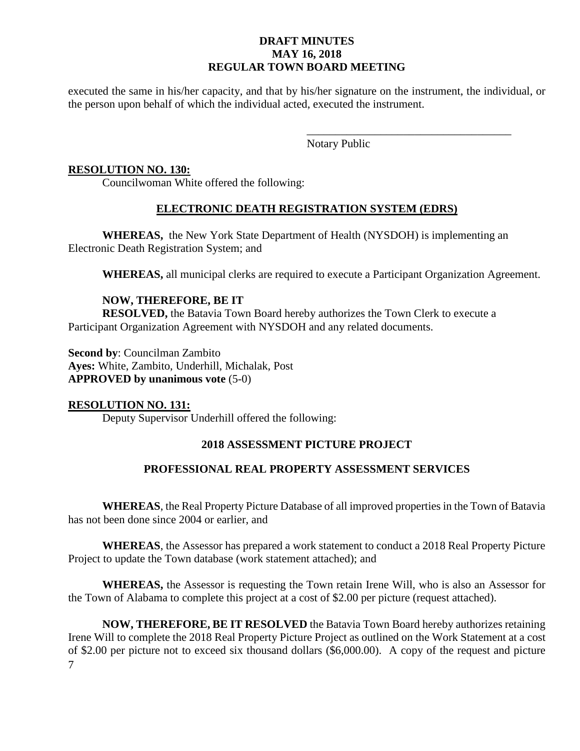executed the same in his/her capacity, and that by his/her signature on the instrument, the individual, or the person upon behalf of which the individual acted, executed the instrument.

> \_\_\_\_\_\_\_\_\_\_\_\_\_\_\_\_\_\_\_\_\_\_\_\_\_\_\_\_\_\_\_\_\_\_\_\_ Notary Public

### **RESOLUTION NO. 130:**

Councilwoman White offered the following:

## **ELECTRONIC DEATH REGISTRATION SYSTEM (EDRS)**

**WHEREAS,** the New York State Department of Health (NYSDOH) is implementing an Electronic Death Registration System; and

**WHEREAS,** all municipal clerks are required to execute a Participant Organization Agreement.

## **NOW, THEREFORE, BE IT**

**RESOLVED,** the Batavia Town Board hereby authorizes the Town Clerk to execute a Participant Organization Agreement with NYSDOH and any related documents.

**Second by**: Councilman Zambito **Ayes:** White, Zambito, Underhill, Michalak, Post **APPROVED by unanimous vote** (5-0)

## **RESOLUTION NO. 131:**

Deputy Supervisor Underhill offered the following:

## **2018 ASSESSMENT PICTURE PROJECT**

## **PROFESSIONAL REAL PROPERTY ASSESSMENT SERVICES**

**WHEREAS**, the Real Property Picture Database of all improved properties in the Town of Batavia has not been done since 2004 or earlier, and

**WHEREAS**, the Assessor has prepared a work statement to conduct a 2018 Real Property Picture Project to update the Town database (work statement attached); and

**WHEREAS,** the Assessor is requesting the Town retain Irene Will, who is also an Assessor for the Town of Alabama to complete this project at a cost of \$2.00 per picture (request attached).

7 **NOW, THEREFORE, BE IT RESOLVED** the Batavia Town Board hereby authorizes retaining Irene Will to complete the 2018 Real Property Picture Project as outlined on the Work Statement at a cost of \$2.00 per picture not to exceed six thousand dollars (\$6,000.00). A copy of the request and picture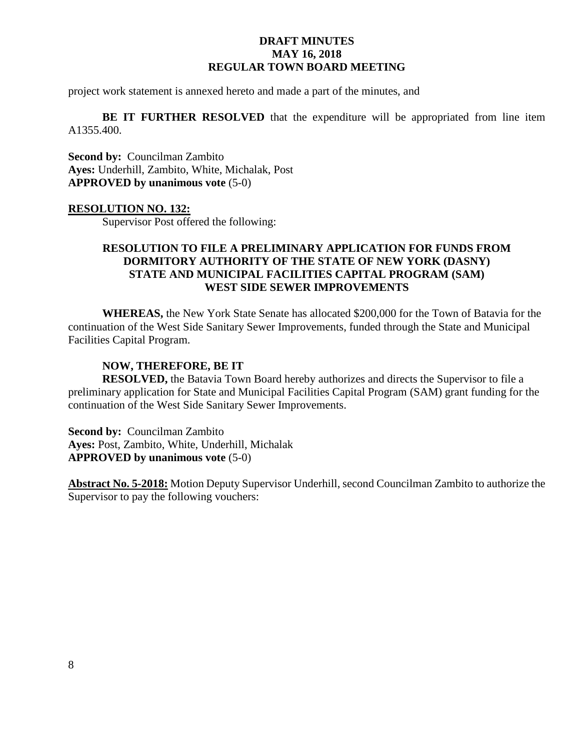project work statement is annexed hereto and made a part of the minutes, and

**BE IT FURTHER RESOLVED** that the expenditure will be appropriated from line item A1355.400.

**Second by:** Councilman Zambito **Ayes:** Underhill, Zambito, White, Michalak, Post **APPROVED by unanimous vote** (5-0)

### **RESOLUTION NO. 132:**

Supervisor Post offered the following:

### **RESOLUTION TO FILE A PRELIMINARY APPLICATION FOR FUNDS FROM DORMITORY AUTHORITY OF THE STATE OF NEW YORK (DASNY) STATE AND MUNICIPAL FACILITIES CAPITAL PROGRAM (SAM) WEST SIDE SEWER IMPROVEMENTS**

**WHEREAS,** the New York State Senate has allocated \$200,000 for the Town of Batavia for the continuation of the West Side Sanitary Sewer Improvements, funded through the State and Municipal Facilities Capital Program.

#### **NOW, THEREFORE, BE IT**

**RESOLVED,** the Batavia Town Board hereby authorizes and directs the Supervisor to file a preliminary application for State and Municipal Facilities Capital Program (SAM) grant funding for the continuation of the West Side Sanitary Sewer Improvements.

**Second by: Councilman Zambito Ayes:** Post, Zambito, White, Underhill, Michalak **APPROVED by unanimous vote** (5-0)

**Abstract No. 5-2018:** Motion Deputy Supervisor Underhill, second Councilman Zambito to authorize the Supervisor to pay the following vouchers: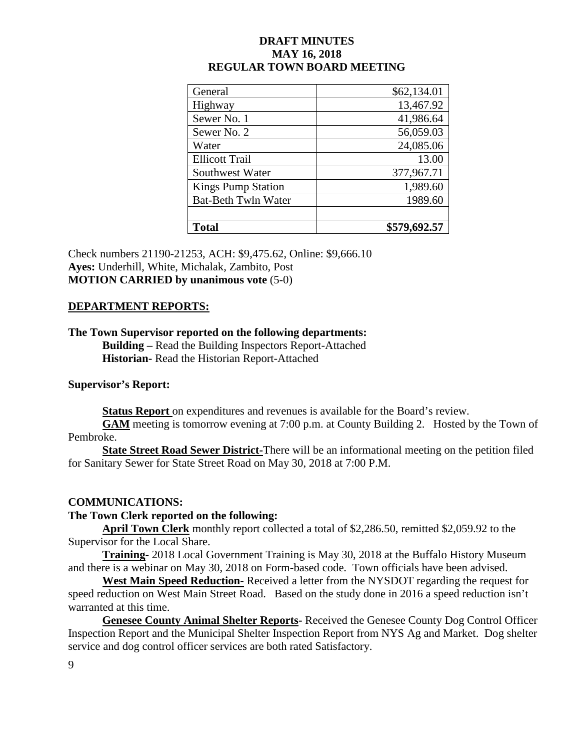| General                    | \$62,134.01  |
|----------------------------|--------------|
| Highway                    | 13,467.92    |
| Sewer No. 1                | 41,986.64    |
| Sewer No. 2                | 56,059.03    |
| Water                      | 24,085.06    |
| <b>Ellicott Trail</b>      | 13.00        |
| Southwest Water            | 377,967.71   |
| <b>Kings Pump Station</b>  | 1,989.60     |
| <b>Bat-Beth Twln Water</b> | 1989.60      |
|                            |              |
| <b>Total</b>               | \$579,692.57 |

Check numbers 21190-21253, ACH: \$9,475.62, Online: \$9,666.10 **Ayes:** Underhill, White, Michalak, Zambito, Post **MOTION CARRIED by unanimous vote** (5-0)

#### **DEPARTMENT REPORTS:**

# **The Town Supervisor reported on the following departments:**

**Building –** Read the Building Inspectors Report-Attached **Historian-** Read the Historian Report-Attached

#### **Supervisor's Report:**

**Status Report** on expenditures and revenues is available for the Board's review.

**GAM** meeting is tomorrow evening at 7:00 p.m. at County Building 2. Hosted by the Town of Pembroke.

**State Street Road Sewer District-**There will be an informational meeting on the petition filed for Sanitary Sewer for State Street Road on May 30, 2018 at 7:00 P.M.

#### **COMMUNICATIONS:**

#### **The Town Clerk reported on the following:**

**April Town Clerk** monthly report collected a total of \$2,286.50, remitted \$2,059.92 to the Supervisor for the Local Share.

**Training-** 2018 Local Government Training is May 30, 2018 at the Buffalo History Museum and there is a webinar on May 30, 2018 on Form-based code. Town officials have been advised.

**West Main Speed Reduction-** Received a letter from the NYSDOT regarding the request for speed reduction on West Main Street Road. Based on the study done in 2016 a speed reduction isn't warranted at this time.

**Genesee County Animal Shelter Reports-** Received the Genesee County Dog Control Officer Inspection Report and the Municipal Shelter Inspection Report from NYS Ag and Market. Dog shelter service and dog control officer services are both rated Satisfactory.